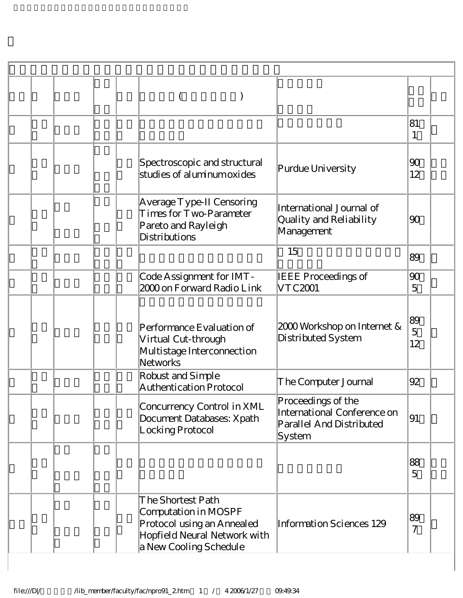|  |                                                                                                                                   |                                                                                         | 81<br>1              |  |
|--|-----------------------------------------------------------------------------------------------------------------------------------|-----------------------------------------------------------------------------------------|----------------------|--|
|  | Spectroscopic and structural<br>studies of aluminum oxides                                                                        | Purdue University                                                                       | 90<br>12             |  |
|  | Average Type-II Censoring<br>Times for Two-Parameter<br>Pareto and Rayleigh<br>Distributions                                      | International Journal of<br>Quality and Reliability<br>Management                       | 90                   |  |
|  |                                                                                                                                   | 15                                                                                      | 89                   |  |
|  | Code Assignment for IMT-<br>2000 on Forward Radio Link                                                                            | <b>IEEE Proceedings of</b><br>VTC2001                                                   | 90<br>5              |  |
|  | Performance Evaluation of<br>Virtual Cut-through<br>Multistage Interconnection<br>Networks                                        | 2000 Workshop on Internet &<br>Distributed System                                       | 89<br>5<br>12        |  |
|  | Robust and Simple<br>Authentication Protocol                                                                                      | The Computer Journal                                                                    | 92                   |  |
|  | Concurrency Control in XML<br>Document Databases: Xpath<br>Locking Protocol                                                       | Proceedings of the<br>International Conference on<br>Parallel And Distributed<br>System | 91                   |  |
|  |                                                                                                                                   |                                                                                         | 88<br>5              |  |
|  | The Shortest Path<br>Computation in MOSPF<br>Protocol using an Annealed<br>Hopfield Neural Network with<br>a New Cooling Schedule | Information Sciences 129                                                                | 89<br>$\overline{7}$ |  |

 $\overline{\phantom{a}}$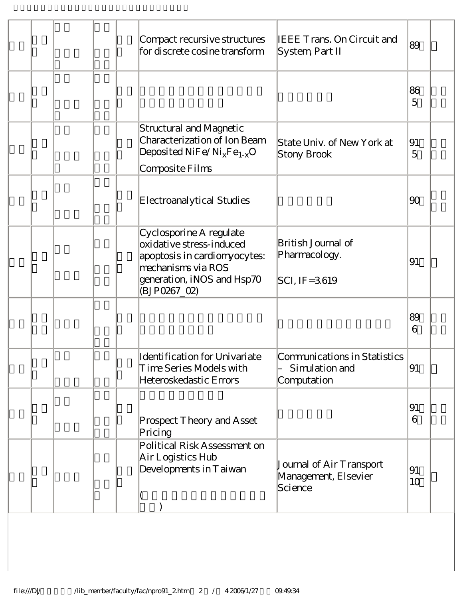|  | <b>IEEE Trans. On Circuit and</b><br>Compact recursive structures<br>for discrete cosine transform<br>System, Part II                                                                                                | 89                   |  |
|--|----------------------------------------------------------------------------------------------------------------------------------------------------------------------------------------------------------------------|----------------------|--|
|  |                                                                                                                                                                                                                      | 86<br>$\overline{5}$ |  |
|  | Structural and Magnetic<br>Characterization of Ion Beam<br>State Univ. of New York at<br>Deposited $NiFe/Ni_XFe_{1-X}O$<br>Stony Brook<br>Composite Films                                                            | 91<br>$\overline{5}$ |  |
|  | Electroanalytical Studies                                                                                                                                                                                            | 90                   |  |
|  | Cyclosporine A regulate<br>British Journal of<br>oxidative stress-induced<br>Pharmacology.<br>apoptosis in cardiomyocytes:<br>mechanisms via ROS<br>generation, iNOS and Hsp70<br>$ SCI, IF = 3.619$<br>(BJP0267_02) | 91                   |  |
|  |                                                                                                                                                                                                                      | 89<br>6              |  |
|  | Identification for Univariate<br>Communications in Statistics<br>Time Series Models with<br>Simulation and<br>Heteroskedastic Errors<br>Computation                                                                  | 91                   |  |
|  | Prospect Theory and Asset<br>Pricing                                                                                                                                                                                 | 91<br>6              |  |
|  | Political Risk Assessment on<br>Air Logistics Hub<br>Journal of Air Transport<br>Developments in Taiwan<br>Management, Elsevier<br>Science                                                                           | 91<br>10             |  |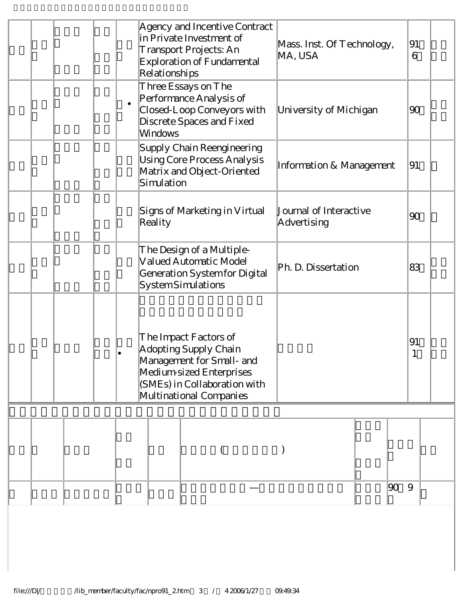|         |  |  | Relationships                                                                                                                                                      | Agency and Incentive Contract<br>in Private Investment of<br>Transport Projects: An<br>Exploration of Fundamental | Mass. Inst. Of Technology,<br>MA, USA |    | 91<br>6  |  |
|---------|--|--|--------------------------------------------------------------------------------------------------------------------------------------------------------------------|-------------------------------------------------------------------------------------------------------------------|---------------------------------------|----|----------|--|
|         |  |  | <b>Windows</b>                                                                                                                                                     | Three Essays on The<br>Performance Analysis of<br>Closed-Loop Conveyors with<br>Discrete Spaces and Fixed         | University of Michigan                |    | 90       |  |
|         |  |  | Supply Chain Reengineering<br>Using Core Process Analysis<br>Information & Management<br>Matrix and Object-Oriented<br>Simulation                                  |                                                                                                                   |                                       |    | 91       |  |
| Reality |  |  | Signs of Marketing in Virtual                                                                                                                                      | Journal of Interactive<br>Advertising                                                                             |                                       | 90 |          |  |
|         |  |  |                                                                                                                                                                    | The Design of a Multiple-<br>Valued Automatic Model<br>Generation System for Digital<br><b>SystemSimulations</b>  | Ph. D. Dissertation                   |    | 83       |  |
|         |  |  | The Impact Factors of<br>Adopting Supply Chain<br>Management for Small- and<br>Medium-sized Enterprises<br>(SMEs) in Collaboration with<br>Multinational Companies |                                                                                                                   |                                       |    | 91       |  |
|         |  |  |                                                                                                                                                                    |                                                                                                                   |                                       |    |          |  |
|         |  |  |                                                                                                                                                                    |                                                                                                                   |                                       |    | 90 <br>9 |  |
|         |  |  |                                                                                                                                                                    |                                                                                                                   |                                       |    |          |  |